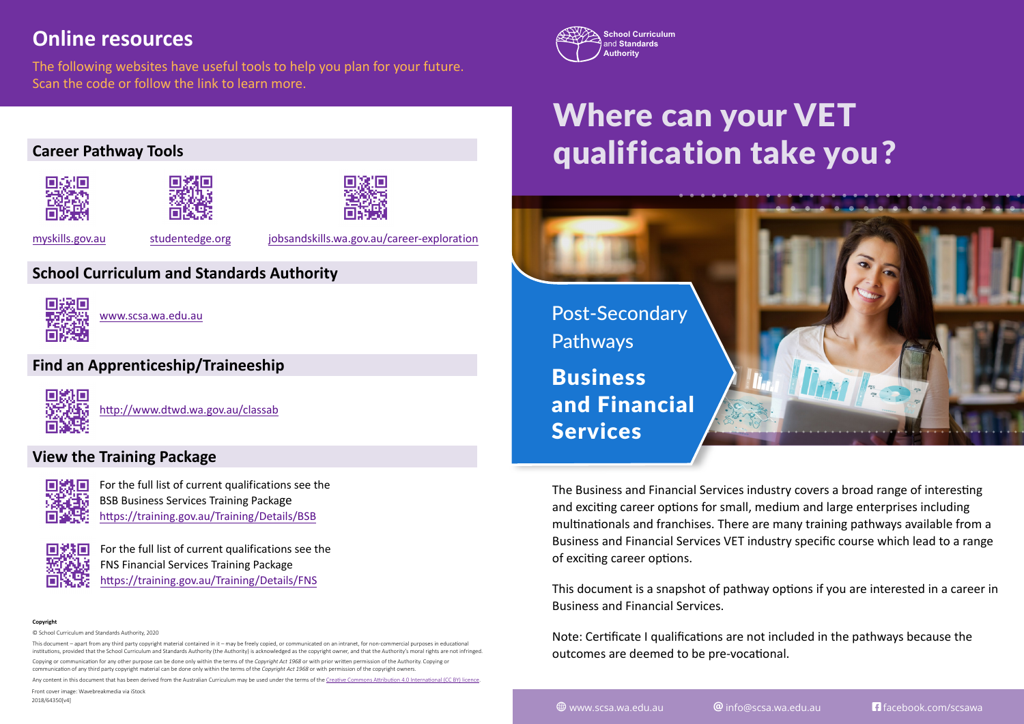## **Online resources**

The following websites have useful tools to help you plan for your future. Scan the code or follow the link to learn more.





[www.scsa.wa.edu.au](https://www.scsa.wa.edu.au/)

### **Find an Apprenticeship/Traineeship**

[http://www.dtwd.wa.gov.au/classab](https://www.dtwd.wa.gov.au/classab)

### **View the Training Package**



[For the full list of current qualifications see the](http://) [BSB Business Services Training Packa](https://training.gov.au/Training/Details/BSB)ge <https://training.gov.au/Training/Details/BSB>



[For the full list of current qualifications see the](https://training.gov.au/Training/Details/FNS) [FNS Financial Services Training Package](https://training.gov.au/Training/Details/FNS) <https://training.gov.au/Training/Details/FNS>

#### **Copyright**

© School Curriculum and Standards Authority, 2020

This document – apart from any third party copyright material contained in it – may be freely copied, or communicated on an intranet, for non-commercial purposes in educational institutions, provided that the School Curriculum and Standards Authority (the Authority) is acknowledged as the copyright owner, and that the Authority's moral rights are not infringed. Copying or communication for any other purpose can be done only within the terms of the *Copyright Act 1968* or with prior written permission of the Authority. Copying or communication of any third party copyright material can be done only within the terms of the *Copyright Act 1968* or with permission of the copyright owners.

Any content in this document that has been derived from the Australian Curriculum may be used under the terms of the Creative Commons [Attribution 4.0 International \(CC BY\)](https://creativecommons.org/licenses/by/4.0/) licence.

Front cover image: Wavebreakmedia via iStock

2018/64350[v4]



# Where can your VET qualification take you?



The Business and Financial Services industry covers a broad range of interesting and exciting career options for small, medium and large enterprises including multinationals and franchises. There are many training pathways available from a Business and Financial Services VET industry specific course which lead to a range of exciting career options.

This document is a snapshot of pathway options if you are interested in a career in Business and Financial Services.

Note: Certificate I qualifications are not included in the pathways because the outcomes are deemed to be pre-vocational.